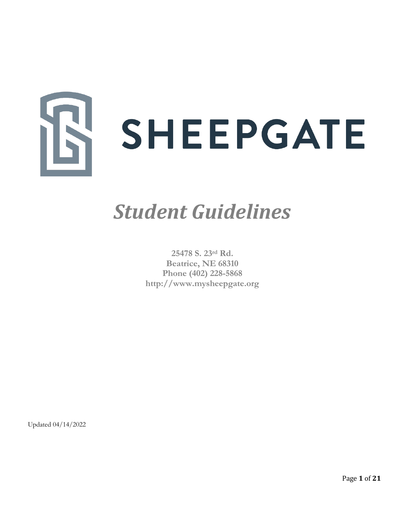

# *Student Guidelines*

**25478 S. 23rd Rd. Beatrice, NE 68310 Phone (402) 228-5868 [http://www.mysheepgate.org](http://www.mysheepgate.org/)**

[Updated 04/14/2022](http://www.facebook.com/blueriverteenchallenge)

Page **1** of **21**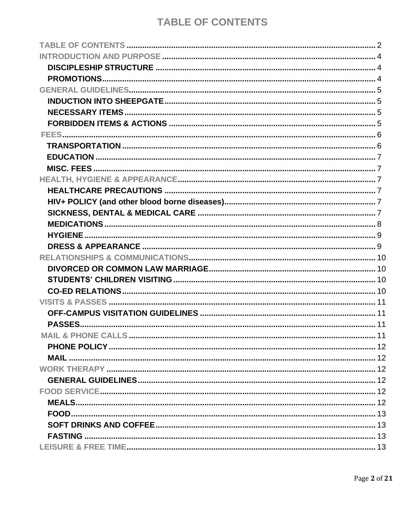# **TABLE OF CONTENTS**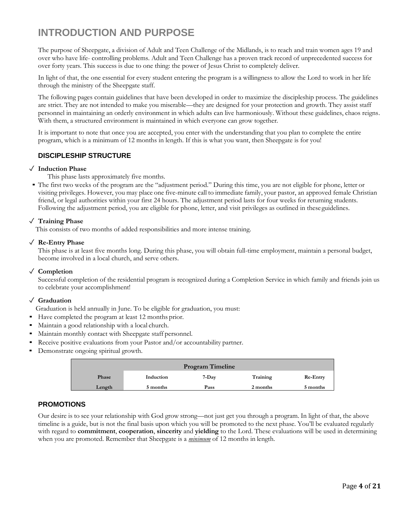# <span id="page-3-0"></span>**INTRODUCTION AND PURPOSE**

The purpose of Sheepgate, a division of Adult and Teen Challenge of the Midlands, is to reach and train women ages 19 and over who have life- controlling problems. Adult and Teen Challenge has a proven track record of unprecedented success for over forty years. This success is due to one thing: the power of Jesus Christ to completely deliver.

In light of that, the one essential for every student entering the program is a willingness to allow the Lord to work in her life through the ministry of the Sheepgate staff.

The following pages contain guidelines that have been developed in order to maximize the discipleship process. The guidelines are strict. They are not intended to make you miserable—they are designed for your protection and growth. They assist staff personnel in maintaining an orderly environment in which adults can live harmoniously. Without these guidelines, chaos reigns. With them, a structured environment is maintained in which everyone can grow together.

It is important to note that once you are accepted, you enter with the understanding that you plan to complete the entire program, which is a minimum of 12 months in length. If this is what you want, then Sheepgate is for you!

#### **DISCIPLESHIP STRUCTURE**

#### <span id="page-3-1"></span>✓ **Induction Phase**

This phase lasts approximately five months.

▪ The first two weeks of the program are the "adjustment period." During this time, you are not eligible for phone, letter or visiting privileges. However, you may place one five-minute call to immediate family, your pastor, an approved female Christian friend, or legal authorities within your first 24 hours. The adjustment period lasts for four weeks for returning students. Following the adjustment period, you are eligible for phone, letter, and visit privileges as outlined in theseguidelines.

#### ✓ **Training Phase**

This consists of two months of added responsibilities and more intense training.

#### ✓ **Re-Entry Phase**

This phase is at least five months long. During this phase, you will obtain full-time employment, maintain a personal budget, become involved in a local church, and serve others.

#### ✓ **Completion**

Successful completion of the residential program is recognized during a Completion Service in which family and friends join us to celebrate your accomplishment!

#### ✓ **Graduation**

Graduation is held annually in June. To be eligible for graduation, you must:

- Have completed the program at least 12 months prior.
- Maintain a good relationship with a local church.
- Maintain monthly contact with Sheepgate staff personnel.
- Receive positive evaluations from your Pastor and/or accountability partner.
- Demonstrate ongoing spiritual growth.

| <b>Program Timeline</b> |           |       |          |          |
|-------------------------|-----------|-------|----------|----------|
| Phase                   | Induction | 7-Day | Training | Re-Entry |
| Length                  | 5 months  | Pass  | 2 months | 5 months |

#### <span id="page-3-3"></span><span id="page-3-2"></span>**PROMOTIONS**

Our desire is to see your relationship with God grow strong—not just get you through a program. In light of that, the above timeline is a guide, but is not the final basis upon which you will be promoted to the next phase. You'll be evaluated regularly with regard to **commitment**, **cooperation**, **sincerity** and **yielding** to the Lord. These evaluations will be used in determining when you are promoted. Remember that Sheepgate is a *minimum* of 12 months in length.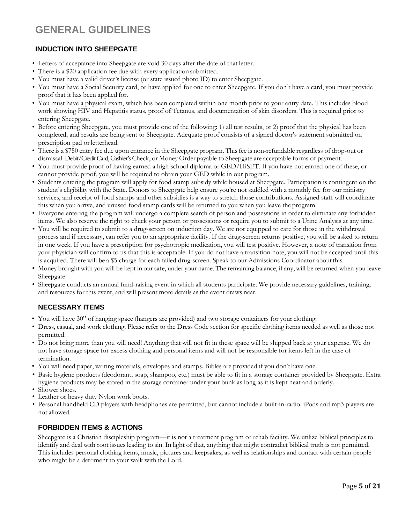# <span id="page-4-0"></span>**GENERAL GUIDELINES**

#### <span id="page-4-2"></span><span id="page-4-1"></span>**INDUCTION INTO SHEEPGATE**

- Letters of acceptance into Sheepgate are void 30 days after the date of that letter.
- There is a \$20 application fee due with every application submitted.
- You must have a valid driver's license (or state issued photo ID) to enter Sheepgate.
- You must have a Social Security card, or have applied for one to enter Sheepgate. If you don't have a card, you must provide proof that it has been applied for.
- You must have a physical exam, which has been completed within one month prior to your entry date. This includes blood work showing HIV and Hepatitis status, proof of Tetanus, and documentation of skin disorders. This is required prior to entering Sheepgate.
- Before entering Sheepgate, you must provide one of the following: 1) all test results, or 2) proof that the physical has been completed, and results are being sent to Sheepgate. Adequate proof consists of a signed doctor's statement submitted on prescription pad orletterhead.
- There is a \$750 entry fee due upon entrance in the Sheepgate program. This fee is non-refundable regardless of drop-out or dismissal. Debit/Credit Card, Cashier's Check, or Money Order payable to Sheepgate are acceptable forms of payment.
- You must provide proof of having earned a high school diploma or GED/HiSET. If you have not earned one of these, or cannot provide proof, you will be required to obtain your GED while in our program.
- Students entering the program will apply for food stamp subsidy while housed at Sheepgate. Participation is contingent on the student's eligibility with the State. Donors to Sheepgate help ensure you're not saddled with a monthly fee for our ministry services, and receipt of food stamps and other subsidies is a way to stretch those contributions. Assigned staff will coordinate this when you arrive, and unused food stamp cards will be returned to you when you leave the program.
- Everyone entering the program will undergo a complete search of person and possessions in order to eliminate any forbidden items. We also reserve the right to check your person or possessions or require you to submit to a Urine Analysis at any time.
- You will be required to submit to a drug-screen on induction day. We are not equipped to care for those in the withdrawal process and if necessary, can refer you to an appropriate facility. If the drug-screen returns positive, you will be asked to return in one week. If you have a prescription for psychotropic medication, you will test positive. However, a note of transition from your physician will confirm to us that this is acceptable. If you do not have a transition note, you will not be accepted until this is acquired. There will be a \$5 charge for each failed drug-screen. Speak to our Admissions Coordinator about this.
- Money brought with you will be kept in our safe, under your name. The remaining balance, if any, will be returned when you leave Sheepgate.
- Sheepgate conducts an annual fund-raising event in which all students participate. We provide necessary guidelines, training, and resources for this event, and will present more details as the event draws near.

#### **NECESSARY ITEMS**

- <span id="page-4-3"></span>• You will have 30" of hanging space (hangers are provided) and two storage containers for your clothing.
- Dress, casual, and work clothing. Please refer to the Dress Code section for specific clothing items needed as well as those not permitted.
- Do not bring more than you will need! Anything that will not fit in these space will be shipped back at your expense. We do not have storage space for excess clothing and personal items and will not be responsible for items left in the case of termination.
- You will need paper, writing materials, envelopes and stamps. Bibles are provided if you don't have one.
- Basic hygiene products (deodorant, soap, shampoo, etc.) must be able to fit in a storage container provided by Sheepgate. Extra hygiene products may be stored in the storage container under your bunk as long as it is kept neat and orderly.
- Shower shoes.
- Leather or heavy duty Nylon work boots.
- Personal handheld CD players with headphones are permitted, but cannot include a built-in-radio. iPods and mp3 players are not allowed.

#### <span id="page-4-4"></span>**FORBIDDEN ITEMS & ACTIONS**

Sheepgate is a Christian discipleship program—it is not a treatment program or rehab facility. We utilize biblical principles to identify and deal with root issues leading to sin. In light of that, anything that might contradict biblical truth is not permitted. This includes personal clothing items, music, pictures and keepsakes, as well as relationships and contact with certain people who might be a detriment to your walk with the Lord.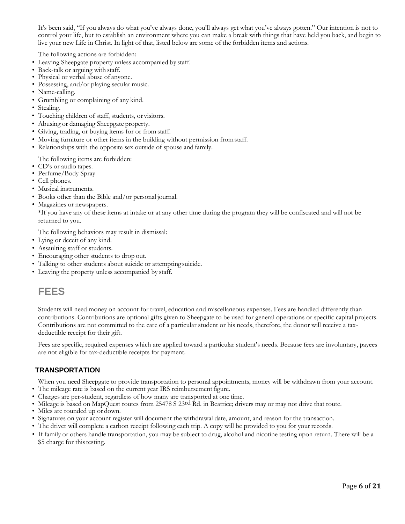It's been said, "If you always do what you've always done, you'll always get what you've always gotten." Our intention is not to control your life, but to establish an environment where you can make a break with things that have held you back, and begin to live your new Life in Christ. In light of that, listed below are some of the forbidden items and actions.

The following actions are forbidden:

- Leaving Sheepgate property unless accompanied by staff.
- Back-talk or arguing with staff.
- Physical or verbal abuse of anyone.
- Possessing, and/or playing secular music.
- Name-calling.
- Grumbling or complaining of any kind.
- Stealing.
- Touching children of staff, students, or visitors.
- Abusing or damaging Sheepgate property.
- Giving, trading, or buying items for or fromstaff.
- Moving furniture or other items in the building without permission fromstaff.
- Relationships with the opposite sex outside of spouse and family.

The following items are forbidden:

- CD's or audio tapes.
- Perfume/Body Spray
- Cell phones.
- Musical instruments.
- Books other than the Bible and/or personal journal.
- Magazines or newspapers.

\*If you have any of these items at intake or at any other time during the program they will be confiscated and will not be returned to you.

The following behaviors may result in dismissal:

- Lying or deceit of any kind.
- Assaulting staff or students.
- Encouraging other students to drop out.
- Talking to other students about suicide or attempting suicide.
- Leaving the property unless accompanied by staff.

### <span id="page-5-0"></span>**FEES**

Students will need money on account for travel, education and miscellaneous expenses. Fees are handled differently than contributions. Contributions are optional gifts given to Sheepgate to be used for general operations or specific capital projects. Contributions are not committed to the care of a particular student or his needs, therefore, the donor will receive a taxdeductible receipt for their gift.

Fees are specific, required expenses which are applied toward a particular student's needs. Because fees are involuntary, payees are not eligible for tax-deductible receipts for payment.

#### <span id="page-5-1"></span>**TRANSPORTATION**

When you need Sheepgate to provide transportation to personal appointments, money will be withdrawn from your account. • The mileage rate is based on the current year IRS reimbursement figure.

- Charges are per-student, regardless of how many are transported at one time.
- Mileage is based on MapQuest routes from 25478 S 23rd Rd. in Beatrice; drivers may or may not drive that route.
- Miles are rounded up or down.
- Signatures on your account register will document the withdrawal date, amount, and reason for the transaction.
- The driver will complete a carbon receipt following each trip. A copy will be provided to you for your records.
- If family or others handle transportation, you may be subject to drug, alcohol and nicotine testing upon return. There will be a \$5 charge for this testing.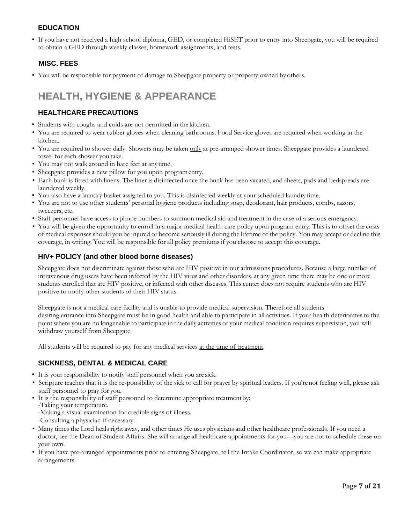#### **EDUCATION**

<span id="page-6-0"></span>• If you have not received a high school diploma, GED, or completed HiSET prior to entry into Sheepgate, you will be required to obtain a GED through weekly classes, homework assignments, and tests.

#### **MISC. FEES**

<span id="page-6-1"></span>• You will be responsible for payment of damage to Sheepgate property or property owned by others.

# <span id="page-6-2"></span>**HEALTH, HYGIENE & APPEARANCE**

#### **HEALTHCARE PRECAUTIONS**

- <span id="page-6-3"></span>• Students with coughs and colds are not permitted in the kitchen.
- You are required to wear rubber gloves when cleaning bathrooms. Food Service gloves are required when working in the kitchen.
- You are required to shower daily. Showers may be taken only at pre-arranged shower times. Sheepgate provides a laundered towel for each shower you take.
- You may not walk around in bare feet at anytime.
- Sheepgate provides a new pillow for you upon programentry.
- Each bunk is fitted with linens. The liner is disinfected once the bunk has been vacated, and sheets, pads and bedspreads are laundered weekly.
- You also have a laundry basket assigned to you. This is disinfected weekly at your scheduled laundry time.
- You are not to use other students' personal hygiene products including soap, deodorant, hair products, combs, razors, tweezers, etc.
- Staff personnel have access to phone numbers to summon medical aid and treatment in the case of a serious emergency.
- You will be given the opportunity to enroll in a major medical health care policy upon program entry. This is to offset the costs of medical expenses should you be injured or become seriously ill during the lifetime of the policy. You may accept or decline this coverage, in writing. You will be responsible for all policy premiums if you choose to accept this coverage.

#### <span id="page-6-4"></span>**HIV+ POLICY (and other blood borne diseases)**

Sheepgate does not discriminate against those who are HIV positive in our admissions procedures. Because a large number of intravenous drug users have been infected by the HIV virus and other disorders, at any given time there may be one or more students enrolled that are HIV positive, or infected with other diseases. This center does not require students who are HIV positive to notify other students of their HIV status.

Sheepgate is not a medical care facility and is unable to provide medical supervision. Therefore all students desiring entrance into Sheepgate must be in good health and able to participate in all activities. If your health deteriorates to the point where you are no longer able to participate in the daily activities or your medical condition requires supervision, you will withdraw yourself from Sheepgate.

All students will be required to pay for any medical services at the time of treatment.

#### <span id="page-6-5"></span>**SICKNESS, DENTAL & MEDICAL CARE**

- It is your responsibility to notify staff personnel when you are sick.
- Scripture teaches that it is the responsibility of the sick to call for prayer by spiritual leaders. If you're not feeling well, please ask staff personnel to pray for you.
- It is the responsibility of staff personnel to determine appropriate treatmentby: -Taking your temperature. -Making a visual examination for credible signs of illness.
	- -Consulting a physician if necessary.
- Many times the Lord heals right away, and other times He uses physicians and other healthcare professionals. If you need a doctor, see the Dean of Student Affairs. She will arrange all healthcare appointments for you—you are not to schedule these on your own.
- If you have pre-arranged appointments prior to entering Sheepgate, tell the Intake Coordinator, so we can make appropriate arrangements.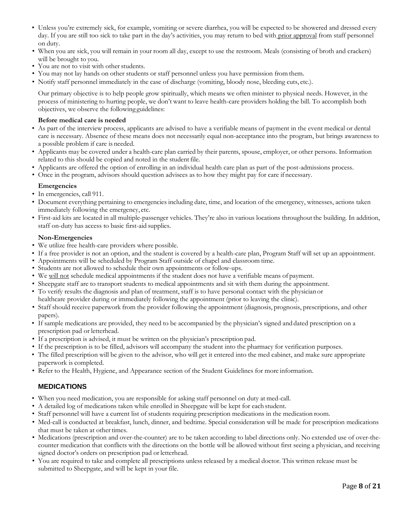- Unless you're extremely sick, for example, vomiting or severe diarrhea, you will be expected to be showered and dressed every day. If you are still too sick to take part in the day's activities, you may return to bed with prior approval from staff personnel on duty.
- When you are sick, you will remain in your room all day, except to use the restroom. Meals (consisting of broth and crackers) will be brought to you.
- You are not to visit with other students.
- You may not lay hands on other students or staff personnel unless you have permission fromthem.
- Notify staff personnel immediately in the case of discharge (vomiting, bloody nose, bleeding cuts, etc.).

Our primary objective is to help people grow spiritually, which means we often minister to physical needs. However, in the process of ministering to hurting people, we don't want to leave health-care providers holding the bill. To accomplish both objectives, we observe the following guidelines:

#### **Before medical care is needed**

- As part of the interview process, applicants are advised to have a verifiable means of payment in the event medical or dental care is necessary. Absence of these means does not necessarily equal non-acceptance into the program, but brings awareness to a possible problem if care is needed.
- Applicants may be covered under a health-care plan carried by their parents, spouse, employer, or other persons. Information related to this should be copied and noted in the student file.
- Applicants are offered the option of enrolling in an individual health care plan as part of the post-admissions process.
- Once in the program, advisors should question advisees as to how they might pay for care if necessary.

#### **Emergencies**

- In emergencies, call 911.
- Document everything pertaining to emergencies including date, time, and location of the emergency, witnesses, actions taken immediately following the emergency, etc.
- First-aid kits are located in all multiple-passenger vehicles. They're also in various locations throughoutthe building. In addition, staff on-duty has access to basic first-aid supplies.

#### **Non-Emergencies**

- We utilize free health-care providers where possible.
- If a free provider is not an option, and the student is covered by a health-care plan, Program Staff will set up an appointment.
- Appointments will be scheduled by Program Staff outside of chapel and classroom time.
- Students are not allowed to schedule their own appointments or follow-ups.
- We will not schedule medical appointments if the student does not have a verifiable means of payment.
- Sheepgate staff are to transport students to medical appointments and sit with them during the appointment.
- To verify results the diagnosis and plan of treatment, staff is to have personal contact with the physician or healthcare provider during or immediately following the appointment (prior to leaving the clinic).
- Staff should receive paperwork from the provider following the appointment (diagnosis, prognosis, prescriptions, and other papers).
- If sample medications are provided, they need to be accompanied by the physician's signed and dated prescription on a prescription pad or letterhead.
- If a prescription is advised, it must be written on the physician's prescription pad.
- If the prescription is to be filled, advisors will accompany the student into the pharmacy for verification purposes.
- The filled prescription will be given to the advisor, who will get it entered into the med cabinet, and make sure appropriate paperwork is completed.
- <span id="page-7-0"></span>• Refer to the Health, Hygiene, and Appearance section of the Student Guidelines for more information.

#### **MEDICATIONS**

- When you need medication, you are responsible for asking staff personnel on duty at med-call.
- A detailed log of medications taken while enrolled in Sheepgate will be kept for each student.
- Staff personnel will have a current list of students requiring prescription medications in the medication room.
- Med-call is conducted at breakfast, lunch, dinner, and bedtime. Special consideration will be made for prescription medications that must be taken at other times.
- Medications (prescription and over-the-counter) are to be taken according to label directions only. No extended use of over-thecounter medication that conflicts with the directions on the bottle will be allowed without first seeing a physician, and receiving signed doctor's orders on prescription pad or letterhead.
- You are required to take and complete all prescriptions unless released by a medical doctor. This written release must be submitted to Sheepgate, and will be kept in your file.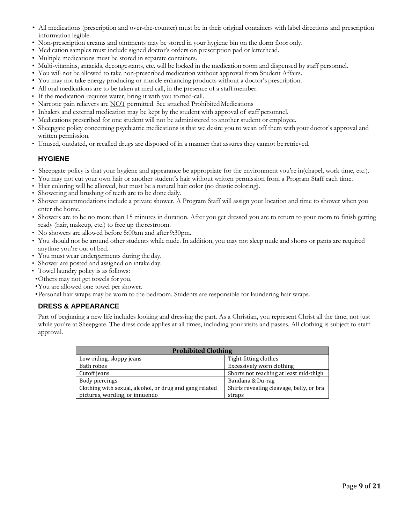- All medications (prescription and over-the-counter) must be in their original containers with label directions and prescription information legible.
- Non-prescription creams and ointments may be stored in your hygiene bin on the dorm floor only.
- Medication samples must include signed doctor's orders on prescription pad or letterhead.
- Multiple medications must be stored in separate containers.
- Multi-vitamins, antacids, decongestants, etc. will be locked in the medication room and dispensed by staff personnel.
- You will not be allowed to take non-prescribed medication without approval from Student Affairs.
- You may not take energy producing or muscle enhancing products without a doctor's prescription.
- All oral medications are to be taken at med call, in the presence of a staff member.
- If the medication requires water, bring it with you tomed-call.
- Narcotic pain relievers are NOT permitted. See attached Prohibited Medications
- Inhalers and external medication may be kept by the student with approval of staff personnel.
- Medications prescribed for one student will not be administered to another student or employee.
- Sheepgate policy concerning psychiatric medications is that we desire you to wean off them with your doctor's approval and written permission.
- Unused, outdated, or recalled drugs are disposed of in a manner that assures they cannot be retrieved.

#### <span id="page-8-0"></span>**HYGIENE**

- Sheepgate policy is that your hygiene and appearance be appropriate for the environment you're in(chapel, work time, etc.).
- You may not cut your own hair or another student's hair without written permission from a Program Staff each time.
- Hair coloring will be allowed, but must be a natural hair color (no drastic coloring).
- Showering and brushing of teeth are to be done daily.
- Shower accommodations include a private shower. A Program Staff will assign your location and time to shower when you enter the home.
- Showers are to be no more than 15 minutes in duration. After you get dressed you are to return to your room to finish getting ready (hair, makeup, etc.) to free up the restroom.
- No showers are allowed before 5:00am and after 9:30pm.
- You should not be around other students while nude. In addition, you may not sleep nude and shorts or pants are required anytime you're out of bed.
- You must wear undergarments during the day.
- Shower are posted and assigned on intake day.
- Towel laundry policy is as follows:
- •Others may not get towels for you.
- •You are allowed one towel per shower.
- <span id="page-8-1"></span>•Personal hair wraps may be worn to the bedroom. Students are responsible for laundering hair wraps.

#### **DRESS & APPEARANCE**

Part of beginning a new life includes looking and dressing the part. As a Christian, you represent Christ all the time, not just while you're at Sheepgate. The dress code applies at all times, including your visits and passes. All clothing is subject to staff approval.

| <b>Prohibited Clothing</b>                              |                                          |  |  |  |
|---------------------------------------------------------|------------------------------------------|--|--|--|
| Low-riding, sloppy jeans                                | Tight-fitting clothes                    |  |  |  |
| Bath robes                                              | Excessively worn clothing                |  |  |  |
| Cutoff jeans                                            | Shorts not reaching at least mid-thigh   |  |  |  |
| Body piercings                                          | Bandana & Du-rag                         |  |  |  |
| Clothing with sexual, alcohol, or drug and gang related | Shirts revealing cleavage, belly, or bra |  |  |  |
| pictures, wording, or innuendo                          | straps                                   |  |  |  |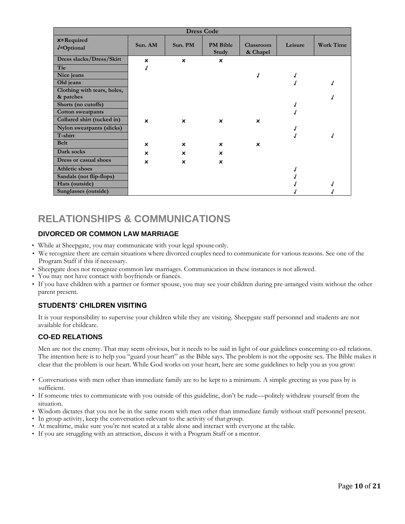<span id="page-9-0"></span>

| <b>Dress Code</b>                        |                           |                           |                           |                           |         |                  |
|------------------------------------------|---------------------------|---------------------------|---------------------------|---------------------------|---------|------------------|
| $x = Required$<br>$J = Optional$         | Sun. AM                   | Sun. PM                   | <b>PM</b> Bible<br>Study  | Classroom<br>& Chapel     | Leisure | <b>Work Time</b> |
| Dress slacks/Dress/Skirt                 | $\boldsymbol{\mathsf{x}}$ | $\boldsymbol{\mathsf{x}}$ | $\boldsymbol{\mathsf{x}}$ |                           |         |                  |
| Tie                                      |                           |                           |                           |                           |         |                  |
| Nice jeans                               |                           |                           |                           |                           |         |                  |
| Old jeans                                |                           |                           |                           |                           |         |                  |
| Clothing with tears, holes,<br>& patches |                           |                           |                           |                           |         |                  |
| Shorts (no cutoffs)                      |                           |                           |                           |                           |         |                  |
| <b>Cotton sweatpants</b>                 |                           |                           |                           |                           |         |                  |
| Collared shirt (tucked in)               | $\boldsymbol{\mathsf{x}}$ | $\boldsymbol{\mathsf{x}}$ | $\boldsymbol{\mathsf{x}}$ | ×                         |         |                  |
| Nylon sweatpants (slicks)                |                           |                           |                           |                           |         |                  |
| T-shirt                                  |                           |                           |                           |                           |         |                  |
| <b>Belt</b>                              | ×                         | $\boldsymbol{\mathsf{x}}$ | ×                         | $\boldsymbol{\mathsf{x}}$ |         |                  |
| Dark socks                               | $\boldsymbol{\mathsf{x}}$ | $\boldsymbol{\mathsf{x}}$ | ×                         |                           |         |                  |
| Dress or casual shoes                    | ×                         | $\boldsymbol{\mathsf{x}}$ | $\boldsymbol{\mathsf{x}}$ |                           |         |                  |
| <b>Athletic shoes</b>                    |                           |                           |                           |                           |         |                  |
| Sandals (not flip-flops)                 |                           |                           |                           |                           |         |                  |
| Hats (outside)                           |                           |                           |                           |                           |         |                  |
| Sunglasses (outside)                     |                           |                           |                           |                           |         |                  |

### **RELATIONSHIPS & COMMUNICATIONS**

#### <span id="page-9-1"></span>**DIVORCED OR COMMON LAW MARRIAGE**

- While at Sheepgate, you may communicate with your legal spouseonly.
- We recognize there are certain situations where divorced couples need to communicate for various reasons. See one of the Program Staff if this if necessary.
- Sheepgate does not recognize common law marriages. Communication in these instances is not allowed.
- You may not have contact with boyfriends or fiancés.
- If you have children with a partner or former spouse, you may see your children during pre-arranged visits without the other parent present.

#### <span id="page-9-2"></span>**STUDENTS' CHILDREN VISITING**

It is your responsibility to supervise your children while they are visiting. Sheepgate staff personnel and students are not available for childcare.

#### <span id="page-9-4"></span><span id="page-9-3"></span>**CO-ED RELATIONS**

Men are not the enemy. That may seem obvious, but it needs to be said in light of our guidelines concerning co-ed relations. The intention here is to help you "guard your heart" as the Bible says. The problem is not the opposite sex. The Bible makes it clear that the problem is our heart. While God works on your heart, here are some guidelines to help you as you grow:

- Conversations with men other than immediate family are to be kept to a minimum. A simple greeting as you pass by is sufficient.
- If someone tries to communicate with you outside of this guideline, don't be rude—politely withdraw yourself from the situation.
- Wisdom dictates that you not be in the same room with men other than immediate family without staff personnel present.
- In group activity, keep the conversation relevant to the activity of that group.
- At mealtime, make sure you're not seated at a table alone and interact with everyone at the table.
- If you are struggling with an attraction, discuss it with a Program Staff or a mentor.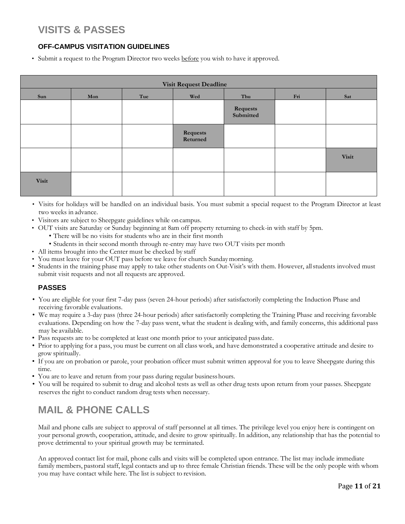## <span id="page-10-0"></span>**VISITS & PASSES**

#### **OFF-CAMPUS VISITATION GUIDELINES**

<span id="page-10-1"></span>• Submit a request to the Program Director two weeks before you wish to have it approved.

| <b>Visit Request Deadline</b> |     |     |                      |                       |     |              |
|-------------------------------|-----|-----|----------------------|-----------------------|-----|--------------|
| Sun                           | Mon | Tue | Wed                  | Thu                   | Fri | Sat          |
|                               |     |     |                      | Requests<br>Submitted |     |              |
|                               |     |     | Requests<br>Returned |                       |     |              |
|                               |     |     |                      |                       |     | <b>Visit</b> |
| <b>Visit</b>                  |     |     |                      |                       |     |              |

- Visits for holidays will be handled on an individual basis. You must submit a special request to the Program Director at least two weeks in advance.
- Visitors are subject to Sheepgate guidelines while oncampus.
- OUT visits are Saturday or Sunday beginning at 8am off property returning to check-in with staff by 5pm.
	- There will be no visits for students who are in their first month
		- Students in their second month through re-entry may have two OUT visits per month
- All items brought into the Center must be checked by staff
- You must leave for your OUT pass before we leave for church Sundaymorning.
- Students in the training phase may apply to take other students on Out-Visit's with them. However, allstudents involved must submit visit requests and not all requests are approved.

#### <span id="page-10-2"></span>**PASSES**

- You are eligible for your first 7-day pass (seven 24-hour periods) after satisfactorily completing the Induction Phase and receiving favorable evaluations.
- We may require a 3-day pass (three 24-hour periods) after satisfactorily completing the Training Phase and receiving favorable evaluations. Depending on how the 7-day pass went, what the student is dealing with, and family concerns, this additional pass may be available.
- Pass requests are to be completed at least one month prior to your anticipated pass date.
- Prior to applying for a pass, you must be current on all class work, and have demonstrated a cooperative attitude and desire to grow spiritually.
- If you are on probation or parole, your probation officer must submit written approval for you to leave Sheepgate during this time.
- You are to leave and return from your pass during regular businesshours.
- You will be required to submit to drug and alcohol tests as well as other drug tests upon return from your passes. Sheepgate reserves the right to conduct random drug tests when necessary.

## <span id="page-10-3"></span>**MAIL & PHONE CALLS**

Mail and phone calls are subject to approval of staff personnel at all times. The privilege level you enjoy here is contingent on your personal growth, cooperation, attitude, and desire to grow spiritually. In addition, any relationship that has the potential to prove detrimental to your spiritual growth may be terminated.

<span id="page-10-4"></span>An approved contact list for mail, phone calls and visits will be completed upon entrance. The list may include immediate family members, pastoral staff, legal contacts and up to three female Christian friends. These will be the only people with whom you may have contact while here. The list is subject to revision.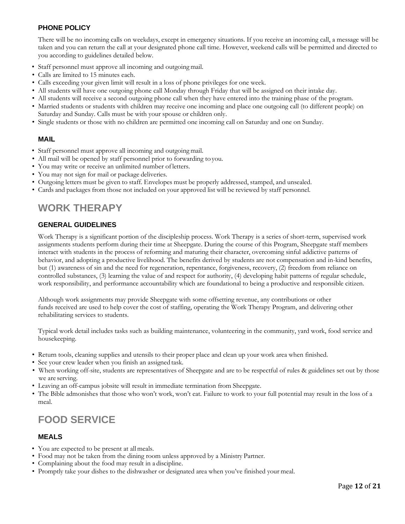#### **PHONE POLICY**

There will be no incoming calls on weekdays, except in emergency situations. If you receive an incoming call, a message will be taken and you can return the call at your designated phone call time. However, weekend calls will be permitted and directed to you according to guidelines detailed below.

- Staff personnel must approve all incoming and outgoing mail.
- Calls are limited to 15 minutes each.
- Calls exceeding your given limit will result in a loss of phone privileges for one week.
- All students will have one outgoing phone call Monday through Friday that will be assigned on their intake day.
- All students will receive a second outgoing phone call when they have entered into the training phase of the program.
- Married students or students with children may receive one incoming and place one outgoing call (to different people) on Saturday and Sunday. Calls must be with your spouse or children only.
- Single students or those with no children are permitted one incoming call on Saturday and one on Sunday.

#### <span id="page-11-0"></span>**MAIL**

- Staff personnel must approve all incoming and outgoing mail.
- All mail will be opened by staff personnel prior to forwarding to you.
- You may write or receive an unlimited number ofletters.
- You may not sign for mail or package deliveries.
- Outgoing letters must be given to staff. Envelopes must be properly addressed, stamped, and unsealed.
- Cards and packages from those not included on your approved list will be reviewed by staff personnel.

### <span id="page-11-1"></span>**WORK THERAPY**

#### <span id="page-11-2"></span>**GENERAL GUIDELINES**

Work Therapy is a significant portion of the discipleship process. Work Therapy is a series of short-term, supervised work assignments students perform during their time at Sheepgate. During the course of this Program, Sheepgate staff members interact with students in the process of reforming and maturing their character, overcoming sinful addictive patterns of behavior, and adopting a productive livelihood. The benefits derived by students are not compensation and in-kind benefits, but (1) awareness of sin and the need for regeneration, repentance, forgiveness, recovery, (2) freedom from reliance on controlled substances, (3) learning the value of and respect for authority, (4) developing habit patterns of regular schedule, work responsibility, and performance accountability which are foundational to being a productive and responsible citizen.

Although work assignments may provide Sheepgate with some offsetting revenue, any contributions or other funds received are used to help cover the cost of staffing, operating the Work Therapy Program, and delivering other rehabilitating services to students.

Typical work detail includes tasks such as building maintenance, volunteering in the community, yard work, food service and housekeeping.

- Return tools, cleaning supplies and utensils to their proper place and clean up your work area when finished.
- See your crew leader when you finish an assigned task.
- When working off-site, students are representatives of Sheepgate and are to be respectful of rules & guidelines set out by those we are serving.
- Leaving an off-campus jobsite will result in immediate termination from Sheepgate.
- The Bible admonishes that those who won't work, won't eat. Failure to work to your full potential may result in the loss of a meal.

### <span id="page-11-3"></span>**FOOD SERVICE**

#### <span id="page-11-4"></span>**MEALS**

- You are expected to be present at all meals.
- Food may not be taken from the dining room unless approved by a Ministry Partner.
- Complaining about the food may result in a discipline.
- Promptly take your dishes to the dishwasher or designated area when you've finished your meal.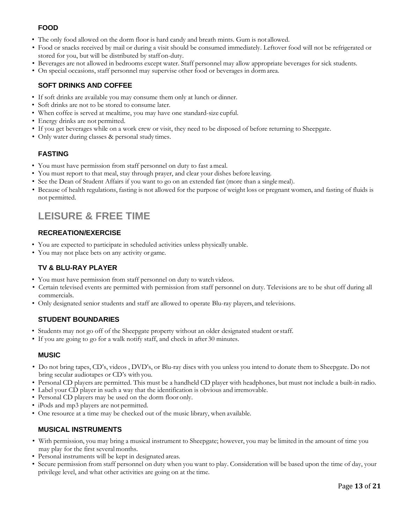#### **FOOD**

- <span id="page-12-0"></span>• The only food allowed on the dorm floor is hard candy and breath mints. Gum is not allowed.
- Food or snacks received by mail or during a visit should be consumed immediately. Leftover food will not be refrigerated or stored for you, but will be distributed by staff on-duty.
- Beverages are not allowed in bedrooms except water. Staff personnel may allow appropriate beverages for sick students.
- On special occasions, staff personnel may supervise other food or beverages in dormarea.

#### <span id="page-12-1"></span>**SOFT DRINKS AND COFFEE**

- If soft drinks are available you may consume them only at lunch or dinner.
- Soft drinks are not to be stored to consume later.
- When coffee is served at mealtime, you may have one standard-size cupful.
- Energy drinks are not permitted.
- If you get beverages while on a work crew or visit, they need to be disposed of before returning to Sheepgate.
- Only water during classes & personal study times.

#### **FASTING**

- <span id="page-12-2"></span>• You must have permission from staff personnel on duty to fast ameal.
- You must report to that meal, stay through prayer, and clear your dishes before leaving.
- See the Dean of Student Affairs if you want to go on an extended fast (more than a singlemeal).
- Because of health regulations, fasting is not allowed for the purpose of weight loss or pregnant women, and fasting of fluids is not permitted.

## <span id="page-12-3"></span>**LEISURE & FREE TIME**

#### <span id="page-12-4"></span>**RECREATION/EXERCISE**

- You are expected to participate in scheduled activities unless physically unable.
- You may not place bets on any activity or game.

#### **TV & BLU-RAY PLAYER**

- <span id="page-12-5"></span>• You must have permission from staff personnel on duty to watch videos.
- Certain televised events are permitted with permission from staff personnel on duty. Televisions are to be shut off during all commercials.
- <span id="page-12-6"></span>• Only designated senior students and staff are allowed to operate Blu-ray players, and televisions.

#### **STUDENT BOUNDARIES**

- Students may not go off of the Sheepgate property without an older designated student orstaff.
- If you are going to go for a walk notify staff, and check in after 30 minutes.

#### <span id="page-12-7"></span>**MUSIC**

- Do not bring tapes, CD's, videos , DVD's, or Blu-ray discs with you unless you intend to donate them to Sheepgate. Do not bring secular audiotapes or CD's with you.
- Personal CD players are permitted. This must be a handheld CD player with headphones, but must not include a built-in radio.
- Label your CD player in such a way that the identification is obvious and irremovable.
- Personal CD players may be used on the dorm floor only.
- iPods and mp3 players are not permitted.
- <span id="page-12-9"></span>• One resource at a time may be checked out of the music library, when available.

#### <span id="page-12-8"></span>**MUSICAL INSTRUMENTS**

- With permission, you may bring a musical instrument to Sheepgate; however, you may be limited in the amount of time you may play for the first severalmonths.
- Personal instruments will be kept in designated areas.
- Secure permission from staff personnel on duty when you want to play. Consideration will be based upon the time of day, your privilege level, and what other activities are going on at the time.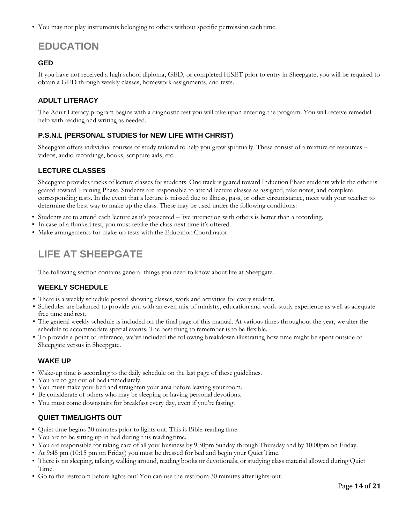• You may not play instruments belonging to others without specific permission each time.

# <span id="page-13-0"></span>**EDUCATION**

#### <span id="page-13-1"></span>**GED**

If you have not received a high school diploma, GED, or completed HiSET prior to entry in Sheepgate, you will be required to obtain a GED through weekly classes, homework assignments, and tests.

#### <span id="page-13-3"></span><span id="page-13-2"></span>**ADULT LITERACY**

The Adult Literacy program begins with a diagnostic test you will take upon entering the program. You will receive remedial help with reading and writing as needed.

#### <span id="page-13-4"></span>**P.S.N.L (PERSONAL STUDIES for NEW LIFE WITH CHRIST)**

Sheepgate offers individual courses of study tailored to help you grow spiritually. These consist of a mixture of resources – videos, audio recordings, books, scripture aids, etc.

#### <span id="page-13-5"></span>**LECTURE CLASSES**

Sheepgate provides tracks of lecture classes for students. One track is geared toward Induction Phase students while the other is geared toward Training Phase. Students are responsible to attend lecture classes as assigned, take notes, and complete corresponding tests. In the event that a lecture is missed due to illness, pass, or other circumstance, meet with your teacher to determine the best way to make up the class. These may be used under the following conditions:

- Students are to attend each lecture as it's presented live interaction with others is better than a recording.
- In case of a flunked test, you must retake the class next time it's offered.
- <span id="page-13-6"></span>• Make arrangements for make-up tests with the Education Coordinator.

### **LIFE AT SHEEPGATE**

The following section contains general things you need to know about life at Sheepgate.

#### **WEEKLY SCHEDULE**

- <span id="page-13-7"></span>• There is a weekly schedule posted showing classes, work and activities for every student.
- Schedules are balanced to provide you with an even mix of ministry, education and work-study experience as well as adequate free time and rest.
- The general weekly schedule is included on the final page of this manual. At various times throughout the year, we alter the schedule to accommodate special events. The best thing to remember is to be flexible.
- To provide a point of reference, we've included the following breakdown illustrating how time might be spent outside of Sheepgate versus in Sheepgate.

#### <span id="page-13-9"></span>**WAKE UP**

- <span id="page-13-8"></span>• Wake-up time is according to the daily schedule on the last page of these guidelines.
- You are to get out of bed immediately.
- You must make your bed and straighten your area before leaving your room.
- Be considerate of others who may be sleeping or having personal devotions.
- You must come downstairs for breakfast every day, even if you're fasting.

#### **QUIET TIME/LIGHTS OUT**

- <span id="page-13-10"></span>• Quiet time begins 30 minutes prior to lights out. This is Bible-reading time.
- You are to be sitting up in bed during this readingtime.
- You are responsible for taking care of all your business by 9:30pm Sunday through Thursday and by 10:00pm on Friday.
- At 9:45 pm (10:15 pm on Friday) you must be dressed for bed and begin your Quiet Time.
- There is no sleeping, talking, walking around, reading books or devotionals, or studying class material allowed during Quiet Time.
- Go to the restroom before lights out! You can use the restroom 30 minutes after lights-out.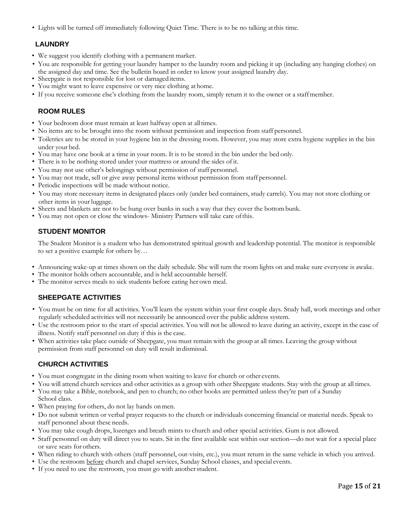• Lights will be turned off immediately following Quiet Time. There is to be no talking atthis time.

#### <span id="page-14-0"></span>**LAUNDRY**

- We suggest you identify clothing with a permanent marker.
- You are responsible for getting your laundry hamper to the laundry room and picking it up (including any hanging clothes) on the assigned day and time. See the bulletin board in order to know your assigned laundry day.
- Sheepgate is not responsible for lost or damageditems.
- You might want to leave expensive or very nice clothing at home.
- If you receive someone else's clothing from the laundry room, simply return it to the owner or a staffmember.

#### **ROOM RULES**

- <span id="page-14-1"></span>• Your bedroom door must remain at least halfway open at all times.
- No items are to be brought into the room without permission and inspection from staff personnel.
- Toiletries are to be stored in your hygiene bin in the dressing room. However, you may store extra hygiene supplies in the bin under your bed.
- You may have one book at a time in your room. It is to be stored in the bin under the bed only.
- There is to be nothing stored under your mattress or around the sides of it.
- You may not use other's belongings without permission of staff personnel.
- You may not trade, sell or give away personal items without permission from staff personnel.
- Periodic inspections will be made without notice.
- You may store necessary items in designated places only (under bed containers, study carrels). You may not store clothing or other items in your luggage.
- Sheets and blankets are not to be hung over bunks in such a way that they cover the bottombunk.
- You may not open or close the windows- Ministry Partners will take care ofthis.

#### <span id="page-14-2"></span>**STUDENT MONITOR**

The Student Monitor is a student who has demonstrated spiritual growth and leadership potential. The monitor is responsible to set a positive example for others by…

- Announcing wake-up at times shown on the daily schedule. She will turn the room lights on and make sure everyone is awake.
- The monitor holds others accountable, and is held accountable herself.
- <span id="page-14-3"></span>• The monitor serves meals to sick students before eating her own meal.

#### **SHEEPGATE ACTIVITIES**

- You must be on time for all activities. You'll learn the system within your first couple days. Study hall, work meetings and other regularly scheduled activities will not necessarily be announced over the public address system.
- Use the restroom prior to the start of special activities. You will not be allowed to leave during an activity, except in the case of illness. Notify staff personnel on duty if this is the case.
- When activities take place outside of Sheepgate, you must remain with the group at all times. Leaving the group without permission from staff personnel on duty will result indismissal.

#### **CHURCH ACTIVITIES**

- <span id="page-14-4"></span>• You must congregate in the dining room when waiting to leave for church or other events.
- You will attend church services and other activities as a group with other Sheepgate students. Stay with the group at all times.
- You may take a Bible, notebook, and pen to church; no other books are permitted unless they're part of a Sunday School class.
- When praying for others, do not lay hands on men.
- Do not submit written or verbal prayer requests to the church or individuals concerning financial or material needs. Speak to staff personnel about these needs.
- You may take cough drops, lozenges and breath mints to church and other special activities. Gum is not allowed.
- Staff personnel on duty will direct you to seats. Sit in the first available seat within our section—do not wait for a special place or save seats for others.
- When riding to church with others (staff personnel, out-visits, etc.), you must return in the same vehicle in which you arrived.
- Use the restroom before church and chapel services, Sunday School classes, and special events.
- If you need to use the restroom, you must go with anotherstudent.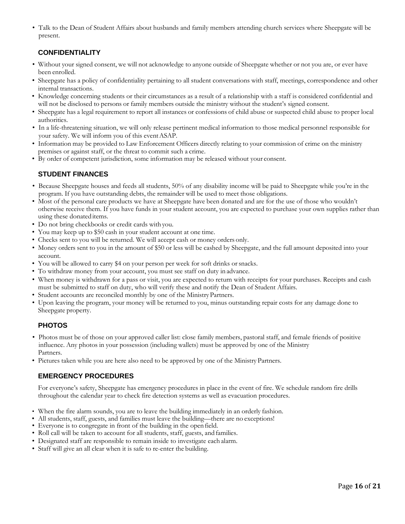• Talk to the Dean of Student Affairs about husbands and family members attending church services where Sheepgate will be present.

#### <span id="page-15-0"></span>**CONFIDENTIALITY**

- Without your signed consent, we will not acknowledge to anyone outside of Sheepgate whether or not you are, or ever have been enrolled.
- Sheepgate has a policy of confidentiality pertaining to all student conversations with staff, meetings, correspondence and other internal transactions.
- Knowledge concerning students or their circumstances as a result of a relationship with a staff is considered confidential and will not be disclosed to persons or family members outside the ministry without the student's signed consent.
- Sheepgate has a legal requirement to report all instances or confessions of child abuse or suspected child abuse to proper local authorities.
- In a life-threatening situation, we will only release pertinent medical information to those medical personnel responsible for your safety. We will inform you of this eventASAP.
- Information may be provided to Law Enforcement Officers directly relating to your commission of crime on the ministry premises or against staff, or the threat to commit such a crime.
- <span id="page-15-1"></span>• By order of competent jurisdiction, some information may be released without your consent.

#### **STUDENT FINANCES**

- Because Sheepgate houses and feeds all students, 50% of any disability income will be paid to Sheepgate while you're in the program. If you have outstanding debts, the remainder will be used to meet those obligations.
- Most of the personal care products we have at Sheepgate have been donated and are for the use of those who wouldn't otherwise receive them. If you have funds in your student account, you are expected to purchase your own supplies rather than using these donated items.
- Do not bring checkbooks or credit cards with you.
- You may keep up to \$50 cash in your student account at one time.
- Checks sent to you will be returned. We will accept cash or money orders only.
- Money orders sent to you in the amount of \$50 or less will be cashed by Sheepgate, and the full amount deposited into your account.
- You will be allowed to carry \$4 on your person per week for soft drinks orsnacks.
- To withdraw money from your account, you must see staff on duty in advance.
- When money is withdrawn for a pass or visit, you are expected to return with receipts for your purchases. Receipts and cash must be submitted to staff on duty, who will verify these and notify the Dean of Student Affairs.
- Student accounts are reconciled monthly by one of the MinistryPartners.
- Upon leaving the program, your money will be returned to you, minus outstanding repair costs for any damage done to Sheepgate property.

#### <span id="page-15-2"></span>**PHOTOS**

- Photos must be of those on your approved caller list: close family members, pastoral staff, and female friends of positive influence. Any photos in your possession (including wallets) must be approved by one of the Ministry Partners.
- Pictures taken while you are here also need to be approved by one of the MinistryPartners.

#### <span id="page-15-3"></span>**EMERGENCY PROCEDURES**

For everyone's safety, Sheepgate has emergency procedures in place in the event of fire. We schedule random fire drills throughout the calendar year to check fire detection systems as well as evacuation procedures.

- When the fire alarm sounds, you are to leave the building immediately in an orderly fashion.
- All students, staff, guests, and families must leave the building—there are no exceptions!
- Everyone is to congregate in front of the building in the openfield.
- Roll call will be taken to account for all students, staff, guests, and families.
- Designated staff are responsible to remain inside to investigate each alarm.
- Staff will give an all clear when it is safe to re-enter the building.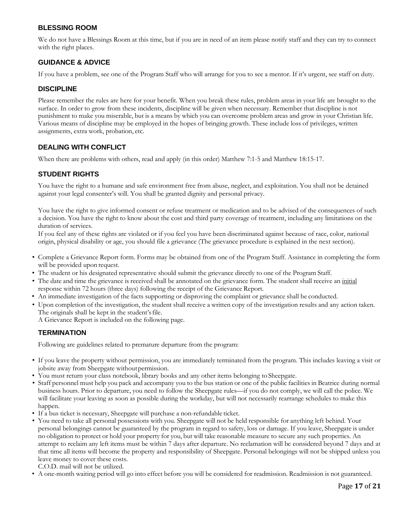#### <span id="page-16-0"></span>**BLESSING ROOM**

We do not have a Blessings Room at this time, but if you are in need of an item please notify staff and they can try to connect with the right places.

#### <span id="page-16-1"></span>**GUIDANCE & ADVICE**

If you have a problem, see one of the Program Staff who will arrange for you to see a mentor. If it's urgent, see staff on duty.

#### <span id="page-16-2"></span>**DISCIPLINE**

Please remember the rules are here for your benefit. When you break these rules, problem areas in your life are brought to the surface. In order to grow from these incidents, discipline will be given when necessary. Remember that discipline is not punishment to make you miserable, but is a means by which you can overcome problem areas and grow in your Christian life. Various means of discipline may be employed in the hopes of bringing growth. These include loss of privileges, written assignments, extra work, probation, etc.

#### <span id="page-16-3"></span>**DEALING WITH CONFLICT**

When there are problems with others, read and apply (in this order) Matthew 7:1-5 and Matthew 18:15-17.

#### <span id="page-16-4"></span>**STUDENT RIGHTS**

You have the right to a humane and safe environment free from abuse, neglect, and exploitation. You shall not be detained against your legal consenter's will. You shall be granted dignity and personal privacy.

You have the right to give informed consent or refuse treatment or medication and to be advised of the consequences of such a decision. You have the right to know about the cost and third party coverage of treatment, including any limitations on the duration of services.

If you feel any of these rights are violated or if you feel you have been discriminated against because of race, color, national origin, physical disability or age, you should file a grievance (The grievance procedure is explained in the next section).

- Complete a Grievance Report form. Forms may be obtained from one of the Program Staff. Assistance in completing the form will be provided upon request.
- The student or his designated representative should submit the grievance directly to one of the Program Staff.
- The date and time the grievance is received shall be annotated on the grievance form. The student shall receive an initial response within 72 hours (three days) following the receipt of the Grievance Report.
- An immediate investigation of the facts supporting or disproving the complaint or grievance shall be conducted.
- Upon completion of the investigation, the student shall receive a written copy of the investigation results and any action taken. The originals shall be kept in the student's file.
	- A Grievance Report is included on the following page.

#### <span id="page-16-5"></span>**TERMINATION**

Following are guidelines related to premature departure from the program:

- If you leave the property without permission, you are immediately terminated from the program. This includes leaving a visit or jobsite away from Sheepgate withoutpermission.
- You must return your class notebook, library books and any other items belonging to Sheepgate.
- Staff personnel must help you pack and accompany you to the bus station or one of the public facilities in Beatrice during normal business hours. Prior to departure, you need to follow the Sheepgate rules—if you do not comply, we will call the police. We will facilitate your leaving as soon as possible during the workday, but will not necessarily rearrange schedules to make this happen.
- If a bus ticket is necessary, Sheepgate will purchase a non-refundable ticket.
- You need to take all personal possessions with you. Sheepgate will not be held responsible for anything left behind. Your personal belongings cannot be guaranteed by the program in regard to safety, loss or damage. If you leave, Sheepgate is under no obligation to protect or hold your property for you, but will take reasonable measure to secure any such properties. An attempt to reclaim any left items must be within 7 days after departure. No reclamation will be considered beyond 7 days and at that time all items will become the property and responsibility of Sheepgate. Personal belongings will not be shipped unless you leave money to cover these costs.

C.O.D. mail will not be utilized.

• A one-month waiting period will go into effect before you will be considered for readmission. Readmission is not guaranteed.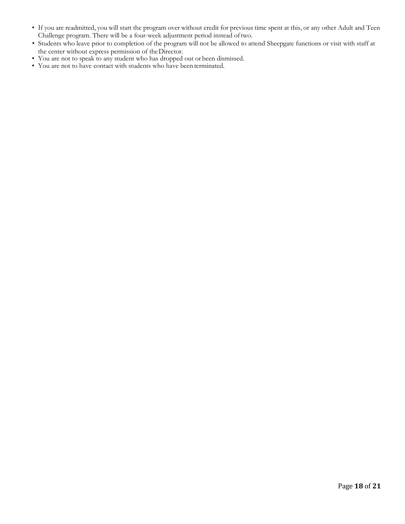- If you are readmitted, you will start the program over without credit for previous time spent at this, or any other Adult and Teen Challenge program. There will be a four-week adjustment period instead oftwo.
- Students who leave prior to completion of the program will not be allowed to attend Sheepgate functions or visit with staff at the center without express permission of theDirector.
- You are not to speak to any student who has dropped out or been dismissed.
- You are not to have contact with students who have been terminated.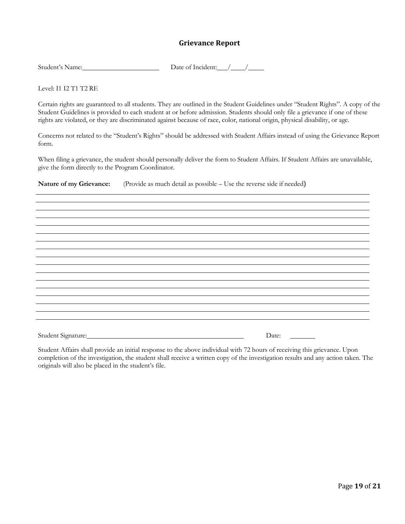#### **Grievance Report**

| Student's Name: | Date of Incident: |
|-----------------|-------------------|
|                 |                   |

Level: I1 I2 T1 T2 RE

Certain rights are guaranteed to all students. They are outlined in the Student Guidelines under "Student Rights". A copy of the Student Guidelines is provided to each student at or before admission. Students should only file a grievance if one of these rights are violated, or they are discriminated against because of race, color, national origin, physical disability, or age.

Concerns not related to the "Student's Rights" should be addressed with Student Affairs instead of using the Grievance Report form.

When filing a grievance, the student should personally deliver the form to Student Affairs. If Student Affairs are unavailable, give the form directly to the Program Coordinator.

**Nature of my Grievance:** (Provide as much detail as possible – Use the reverse side if needed)

Student Signature: Date: Date: Date:

Student Affairs shall provide an initial response to the above individual with 72 hours of receiving this grievance. Upon completion of the investigation, the student shall receive a written copy of the investigation results and any action taken. The originals will also be placed in the student's file.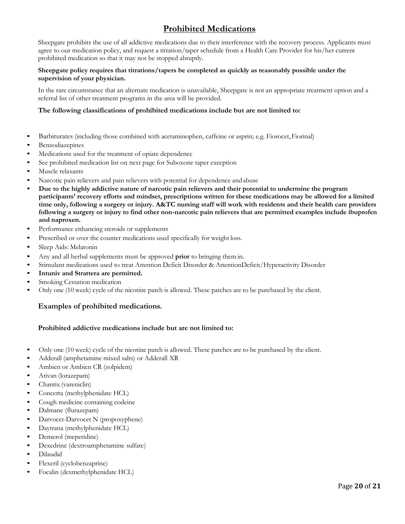### **Prohibited Medications**

<span id="page-19-0"></span>Sheepgate prohibits the use of all addictive medications due to their interference with the recovery process. Applicants must agree to our medication policy, and request a titration/taper schedule from a Health Care Provider for his/her current prohibited medication so that it may not be stopped abruptly.

#### **Sheepgate policy requires that titrations/tapers be completed as quickly as reasonably possible under the supervision of your physician.**

In the rare circumstance that an alternate medication is unavailable, Sheepgate is not an appropriate treatment option and a referral list of other treatment programs in the area will be provided.

#### **The following classifications of prohibited medications include but are not limited to:**

- Barbiturates (including those combined with acetaminophen, caffeine or asprin; e.g. Fiorocet, Fiorinal)
- **•** Benzodiazepines
- Medications used for the treatment of opiate dependence
- See prohibited medication list on next page for Suboxone taper exception
- Muscle relaxants
- Narcotic pain relievers and pain relievers with potential for dependence and abuse
- Due to the highly addictive nature of narcotic pain relievers and their potential to undermine the program **participants' recovery efforts and mindset, prescriptions written for these medications may be allowed for a limited time only, following a surgery or injury. A&TC nursing staff will work with residents and their health care providers following a surgery or injury to find other non-narcotic pain relievers that are permitted examples include ibuprofen and naproxen.**
- Performance enhancing steroids or supplements
- Prescribed or over the counter medications used specifically for weight loss.
- Sleep Aids: Melatonin
- Any and all herbal supplements must be approved **prior** to bringing themin.
- Stimulant medications used to treat Attention Deficit Disorder & AttentionDeficit/Hyperactivity Disorder
- Intuniv and Strattera are permitted.
- Smoking Cessation medication
- Only one (10 week) cycle of the nicotine patch is allowed. These patches are to be purchased by the client.

#### **Examples of prohibited medications.**

#### **Prohibited addictive medications include but are not limited to:**

- Only one (10 week) cycle of the nicotine patch is allowed. These patches are to be purchased by the client.
- Adderall (amphetamine mixed salts) or Adderall XR
- **•** Ambien or Ambien CR (zolpidem)
- Ativan (lorazepam)
- Chantix (vareniclin)
- Concerta (methylphenidate HCL)
- Cough medicine containing codeine
- Dalmane (flurazepam)
- **•** Darvocet-Darvocet N (propoxyphene)
- **•** Daytrana (methylphenidate HCL)
- Demerol (meperidine)
- Dexedrine (dextroamphetamine sulfate)
- Dilaudid
- Flexeril (cyclobenzaprine)
- Focalin (dexmethylphenidate HCL)